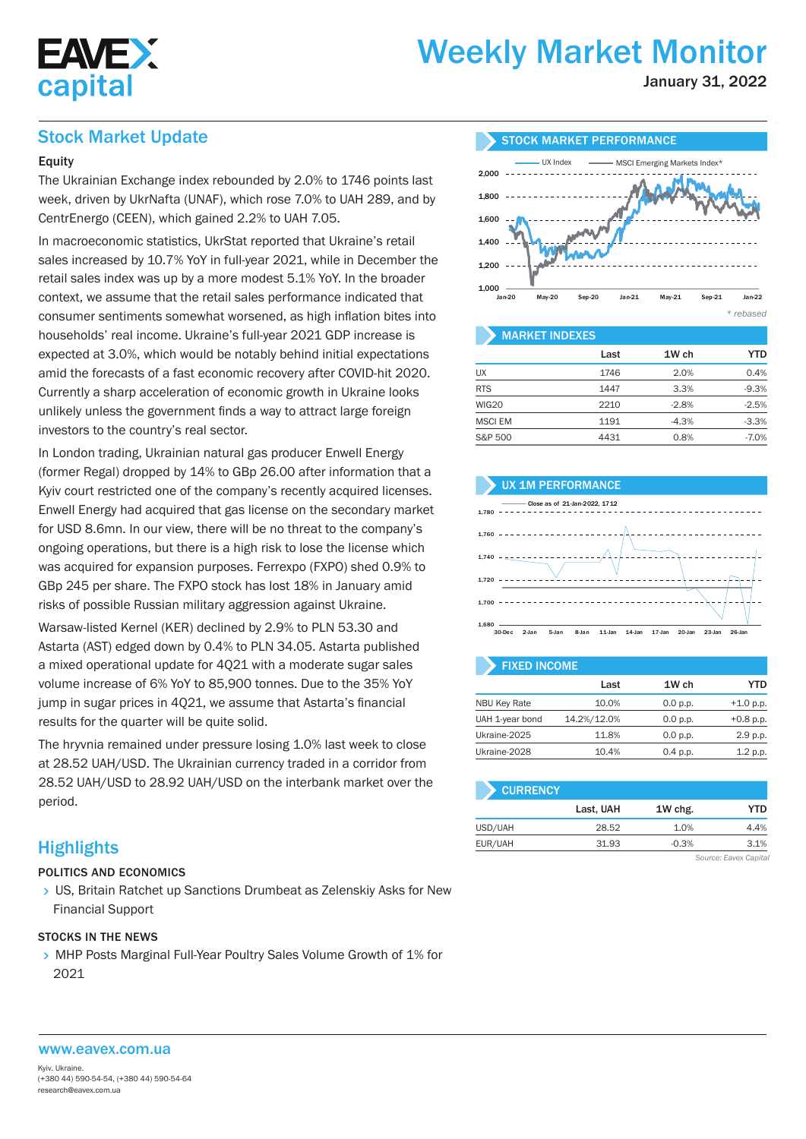

# Weekly Market Monitor

January 31, 2022

## Stock Market Update

## Equity

The Ukrainian Exchange index rebounded by 2.0% to 1746 points last week, driven by UkrNafta (UNAF), which rose 7.0% to UAH 289, and by CentrEnergo (CEEN), which gained 2.2% to UAH 7.05.

In macroeconomic statistics, UkrStat reported that Ukraine's retail sales increased by 10.7% YoY in full-year 2021, while in December the retail sales index was up by a more modest 5.1% YoY. In the broader context, we assume that the retail sales performance indicated that consumer sentiments somewhat worsened, as high inflation bites into households' real income. Ukraine's full-year 2021 GDP increase is expected at 3.0%, which would be notably behind initial expectations amid the forecasts of a fast economic recovery after COVID-hit 2020. Currently a sharp acceleration of economic growth in Ukraine looks unlikely unless the government finds a way to attract large foreign investors to the country's real sector.

In London trading, Ukrainian natural gas producer Enwell Energy (former Regal) dropped by 14% to GBp 26.00 after information that a Kyiv court restricted one of the company's recently acquired licenses. Enwell Energy had acquired that gas license on the secondary market for USD 8.6mn. In our view, there will be no threat to the company's ongoing operations, but there is a high risk to lose the license which was acquired for expansion purposes. Ferrexpo (FXPO) shed 0.9% to GBp 245 per share. The FXPO stock has lost 18% in January amid risks of possible Russian military aggression against Ukraine.

Warsaw-listed Kernel (KER) declined by 2.9% to PLN 53.30 and Astarta (AST) edged down by 0.4% to PLN 34.05. Astarta published a mixed operational update for 4Q21 with a moderate sugar sales volume increase of 6% YoY to 85,900 tonnes. Due to the 35% YoY jump in sugar prices in 4Q21, we assume that Astarta's financial results for the quarter will be quite solid.

The hryvnia remained under pressure losing 1.0% last week to close at 28.52 UAH/USD. The Ukrainian currency traded in a corridor from 28.52 UAH/USD to 28.92 UAH/USD on the interbank market over the period.

## **Highlights**

#### POLITICS AND ECONOMICS

 US, Britain Ratchet up Sanctions Drumbeat as Zelenskiy Asks for New Financial Support

#### STOCKS IN THE NEWS

> MHP Posts Marginal Full-Year Poultry Sales Volume Growth of 1% for 2021



#### MARKET INDEXES

|                | Last | 1W ch   | <b>YTD</b> |
|----------------|------|---------|------------|
| UX             | 1746 | 2.0%    | 0.4%       |
| <b>RTS</b>     | 1447 | 3.3%    | $-9.3%$    |
| <b>WIG20</b>   | 2210 | $-2.8%$ | $-2.5%$    |
| <b>MSCI EM</b> | 1191 | $-4.3%$ | $-3.3%$    |
| S&P 500        | 4431 | 0.8%    | $-7.0%$    |

#### UX 1M PERFORMANCE



| <b>FIXED INCOME</b> |             |          |             |  |  |  |  |  |  |  |  |
|---------------------|-------------|----------|-------------|--|--|--|--|--|--|--|--|
|                     | Last        | 1W ch    | YTD         |  |  |  |  |  |  |  |  |
| <b>NBU Key Rate</b> | 10.0%       | 0.0 p.p. | $+1.0 p.p.$ |  |  |  |  |  |  |  |  |
| UAH 1-year bond     | 14.2%/12.0% | 0.0 p.p. | $+0.8$ p.p. |  |  |  |  |  |  |  |  |
| Ukraine-2025        | 11.8%       | 0.0 p.p. | 2.9 p.p.    |  |  |  |  |  |  |  |  |
| Ukraine-2028        | 10.4%       | 0.4 p.p. | 1.2 p.p.    |  |  |  |  |  |  |  |  |

| <b>CURRENCY</b> |           |         |      |
|-----------------|-----------|---------|------|
|                 | Last, UAH | 1W chg. | YTD  |
| USD/UAH         | 28.52     | 1.0%    | 4.4% |
| EUR/UAH         | 31.93     | $-0.3%$ | 3.1% |

*Source: Eavex Capital*

#### www.eavex.com.ua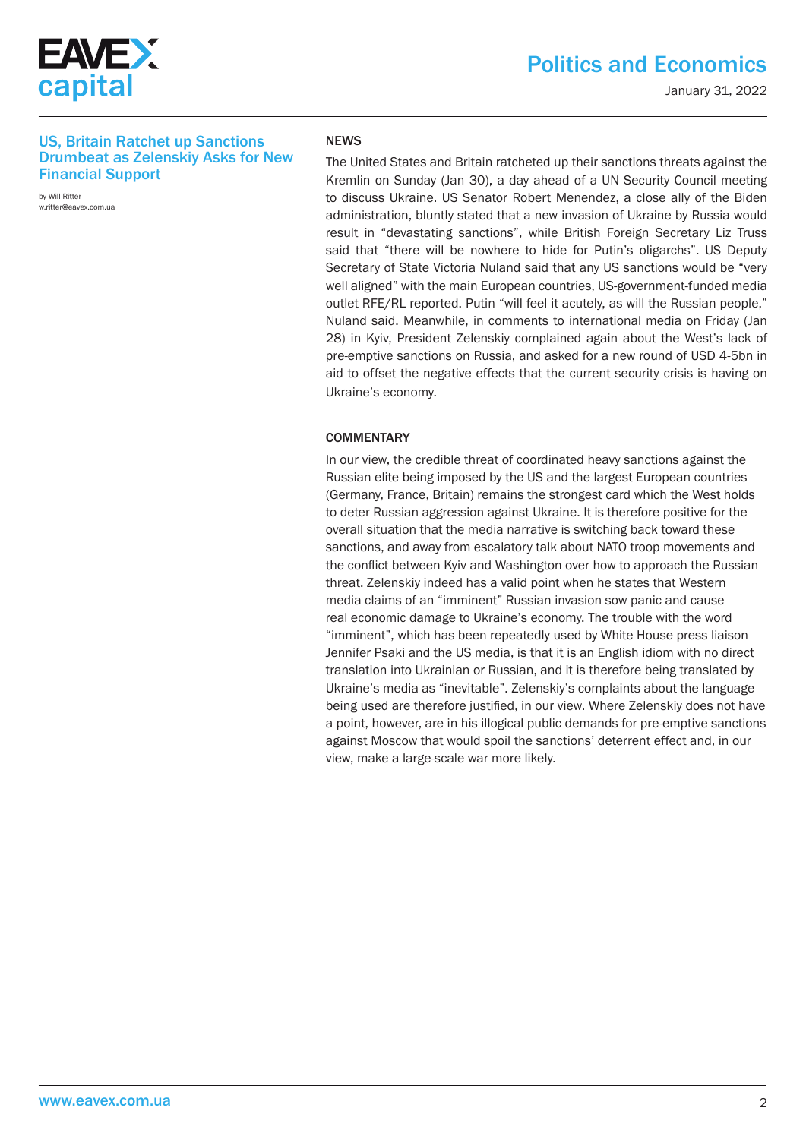

## Politics and Economics

January 31, 2022

#### US, Britain Ratchet up Sanctions Drumbeat as Zelenskiy Asks for New Financial Support

by Will Ritter w.ritter@eavex.com.ua

#### NEWS

The United States and Britain ratcheted up their sanctions threats against the Kremlin on Sunday (Jan 30), a day ahead of a UN Security Council meeting to discuss Ukraine. US Senator Robert Menendez, a close ally of the Biden administration, bluntly stated that a new invasion of Ukraine by Russia would result in "devastating sanctions", while British Foreign Secretary Liz Truss said that "there will be nowhere to hide for Putin's oligarchs". US Deputy Secretary of State Victoria Nuland said that any US sanctions would be "very well aligned" with the main European countries, US-government-funded media outlet RFE/RL reported. Putin "will feel it acutely, as will the Russian people," Nuland said. Meanwhile, in comments to international media on Friday (Jan 28) in Kyiv, President Zelenskiy complained again about the West's lack of pre-emptive sanctions on Russia, and asked for a new round of USD 4-5bn in aid to offset the negative effects that the current security crisis is having on Ukraine's economy.

#### **COMMENTARY**

In our view, the credible threat of coordinated heavy sanctions against the Russian elite being imposed by the US and the largest European countries (Germany, France, Britain) remains the strongest card which the West holds to deter Russian aggression against Ukraine. It is therefore positive for the overall situation that the media narrative is switching back toward these sanctions, and away from escalatory talk about NATO troop movements and the conflict between Kyiv and Washington over how to approach the Russian threat. Zelenskiy indeed has a valid point when he states that Western media claims of an "imminent" Russian invasion sow panic and cause real economic damage to Ukraine's economy. The trouble with the word "imminent", which has been repeatedly used by White House press liaison Jennifer Psaki and the US media, is that it is an English idiom with no direct translation into Ukrainian or Russian, and it is therefore being translated by Ukraine's media as "inevitable". Zelenskiy's complaints about the language being used are therefore justified, in our view. Where Zelenskiy does not have a point, however, are in his illogical public demands for pre-emptive sanctions against Moscow that would spoil the sanctions' deterrent effect and, in our view, make a large-scale war more likely.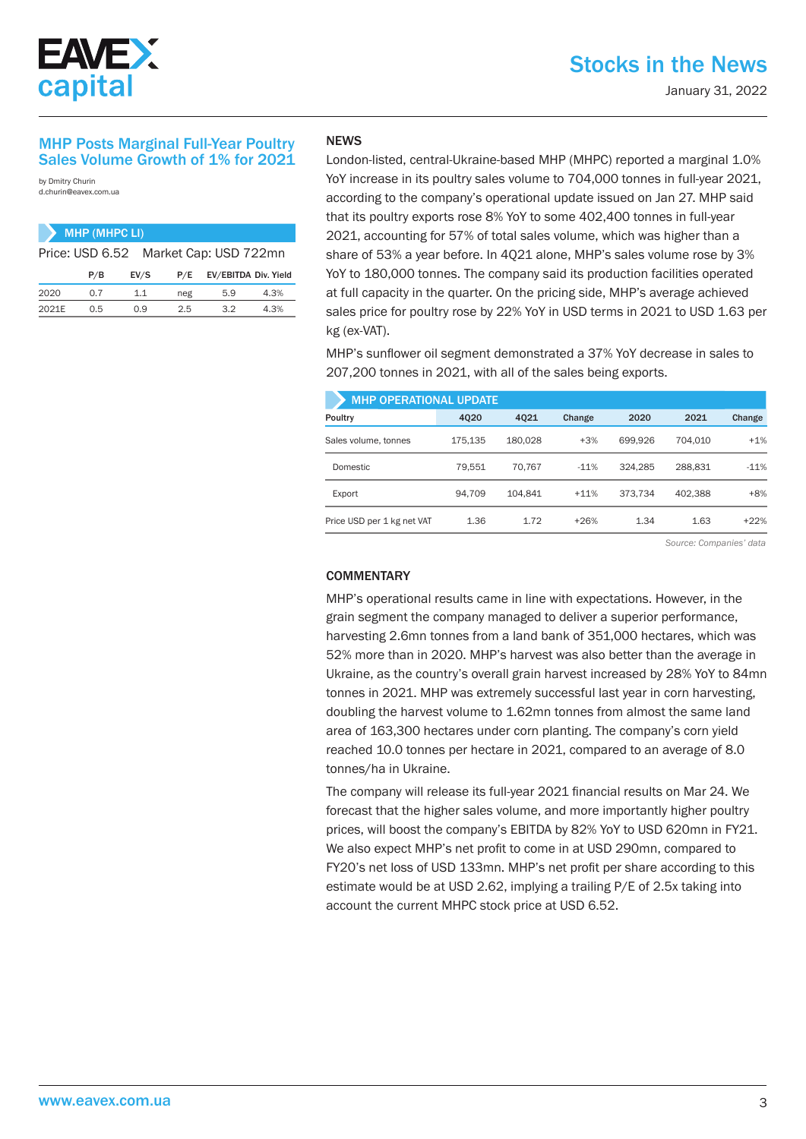

#### MHP Posts Marginal Full-Year Poultry Sales Volume Growth of 1% for 2021

by Dmitry Churin d.churin@eavex.com.ua

|      | MHP (MHPC LI) |      |     |                                       |      |
|------|---------------|------|-----|---------------------------------------|------|
|      |               |      |     | Price: USD 6.52 Market Cap: USD 722mn |      |
|      | P/B           | EV/S | P/E | EV/EBITDA Div. Yield                  |      |
| 2020 | 0.7           | 11   | neg | 5.9                                   | 4.3% |
|      |               |      |     |                                       |      |

2021E 0.5 0.9 2.5 3.2 4.3%

### NEWS

London-listed, central-Ukraine-based MHP (MHPC) reported a marginal 1.0% YoY increase in its poultry sales volume to 704,000 tonnes in full-year 2021, according to the company's operational update issued on Jan 27. MHP said that its poultry exports rose 8% YoY to some 402,400 tonnes in full-year 2021, accounting for 57% of total sales volume, which was higher than a share of 53% a year before. In 4Q21 alone, MHP's sales volume rose by 3% YoY to 180,000 tonnes. The company said its production facilities operated at full capacity in the quarter. On the pricing side, MHP's average achieved sales price for poultry rose by 22% YoY in USD terms in 2021 to USD 1.63 per kg (ex-VAT).

MHP's sunflower oil segment demonstrated a 37% YoY decrease in sales to 207,200 tonnes in 2021, with all of the sales being exports.

| <b>MHP OPERATIONAL UPDATE</b> |         |         |        |         |         |        |  |  |  |  |  |  |  |
|-------------------------------|---------|---------|--------|---------|---------|--------|--|--|--|--|--|--|--|
| Poultry                       | 4020    | 4021    | Change | 2020    | 2021    | Change |  |  |  |  |  |  |  |
| Sales volume, tonnes          | 175,135 | 180,028 | $+3%$  | 699.926 | 704.010 | $+1%$  |  |  |  |  |  |  |  |
| <b>Domestic</b>               | 79.551  | 70.767  | $-11%$ | 324.285 | 288.831 | $-11%$ |  |  |  |  |  |  |  |
| Export                        | 94.709  | 104.841 | $+11%$ | 373.734 | 402.388 | $+8%$  |  |  |  |  |  |  |  |
| Price USD per 1 kg net VAT    | 1.36    | 1.72    | $+26%$ | 1.34    | 1.63    | $+22%$ |  |  |  |  |  |  |  |

*Source: Companies' data*

#### **COMMENTARY**

MHP's operational results came in line with expectations. However, in the grain segment the company managed to deliver a superior performance, harvesting 2.6mn tonnes from a land bank of 351,000 hectares, which was 52% more than in 2020. MHP's harvest was also better than the average in Ukraine, as the country's overall grain harvest increased by 28% YoY to 84mn tonnes in 2021. MHP was extremely successful last year in corn harvesting, doubling the harvest volume to 1.62mn tonnes from almost the same land area of 163,300 hectares under corn planting. The company's corn yield reached 10.0 tonnes per hectare in 2021, compared to an average of 8.0 tonnes/ha in Ukraine.

The company will release its full-year 2021 financial results on Mar 24. We forecast that the higher sales volume, and more importantly higher poultry prices, will boost the company's EBITDA by 82% YoY to USD 620mn in FY21. We also expect MHP's net profit to come in at USD 290mn, compared to FY20's net loss of USD 133mn. MHP's net profit per share according to this estimate would be at USD 2.62, implying a trailing P/E of 2.5x taking into account the current MHPC stock price at USD 6.52.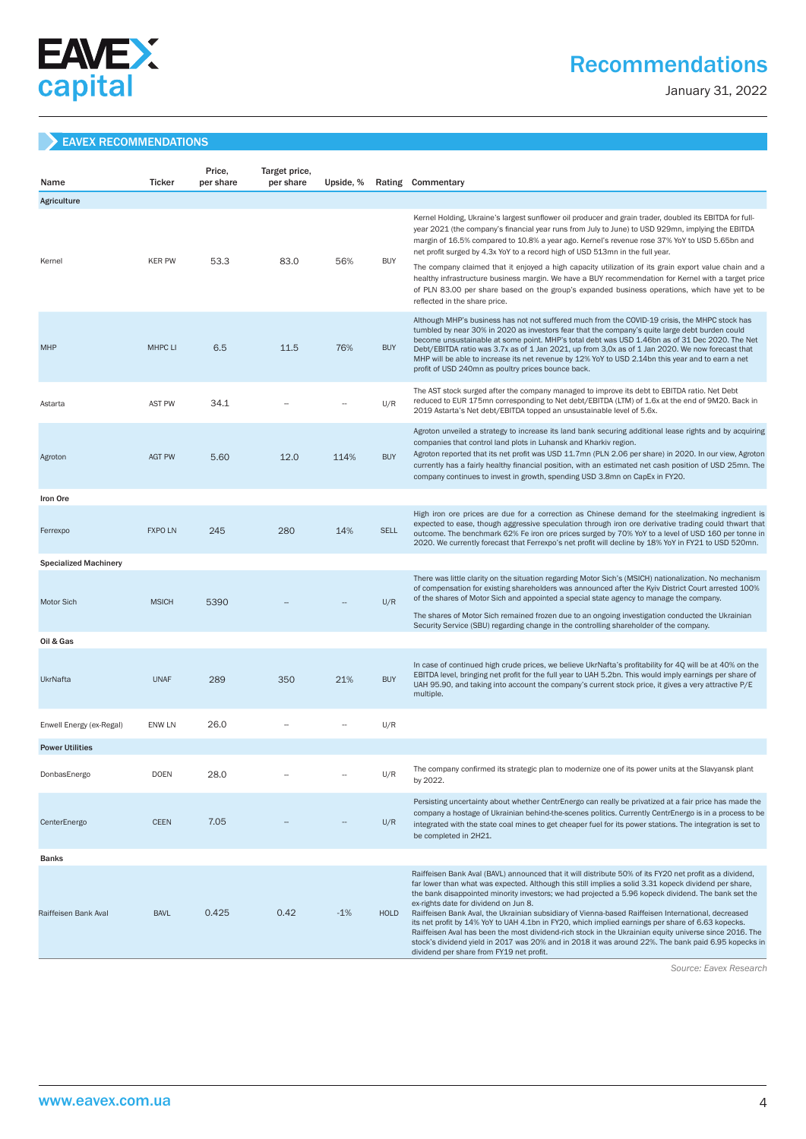

## Recommendations

January 31, 2022

### EAVEX RECOMMENDATIONS

| Name                         | <b>Ticker</b>  | Price,<br>per share | Target price,<br>per share | Upside, % |             | Rating Commentary                                                                                                                                                                                                                                                                                                                                                                                                                                                                                                                                                                                                                                                                                                                                                                                                                        |
|------------------------------|----------------|---------------------|----------------------------|-----------|-------------|------------------------------------------------------------------------------------------------------------------------------------------------------------------------------------------------------------------------------------------------------------------------------------------------------------------------------------------------------------------------------------------------------------------------------------------------------------------------------------------------------------------------------------------------------------------------------------------------------------------------------------------------------------------------------------------------------------------------------------------------------------------------------------------------------------------------------------------|
| Agriculture                  |                |                     |                            |           |             |                                                                                                                                                                                                                                                                                                                                                                                                                                                                                                                                                                                                                                                                                                                                                                                                                                          |
|                              |                |                     |                            |           |             | Kernel Holding, Ukraine's largest sunflower oil producer and grain trader, doubled its EBITDA for full-<br>year 2021 (the company's financial year runs from July to June) to USD 929mn, implying the EBITDA<br>margin of 16.5% compared to 10.8% a year ago. Kernel's revenue rose 37% YoY to USD 5.65bn and<br>net profit surged by 4.3x YoY to a record high of USD 513mn in the full year.                                                                                                                                                                                                                                                                                                                                                                                                                                           |
| Kernel                       | <b>KER PW</b>  | 53.3                | 83.0                       | 56%       | <b>BUY</b>  | The company claimed that it enjoyed a high capacity utilization of its grain export value chain and a<br>healthy infrastructure business margin. We have a BUY recommendation for Kernel with a target price<br>of PLN 83.00 per share based on the group's expanded business operations, which have yet to be<br>reflected in the share price.                                                                                                                                                                                                                                                                                                                                                                                                                                                                                          |
| <b>MHP</b>                   | <b>MHPC LI</b> | 6.5                 | 11.5                       | 76%       | <b>BUY</b>  | Although MHP's business has not not suffered much from the COVID-19 crisis, the MHPC stock has<br>tumbled by near 30% in 2020 as investors fear that the company's quite large debt burden could<br>become unsustainable at some point. MHP's total debt was USD 1.46bn as of 31 Dec 2020. The Net<br>Debt/EBITDA ratio was 3.7x as of 1 Jan 2021, up from 3,0x as of 1 Jan 2020. We now forecast that<br>MHP will be able to increase its net revenue by 12% YoY to USD 2.14bn this year and to earn a net<br>profit of USD 240mn as poultry prices bounce back.                                                                                                                                                                                                                                                                        |
| Astarta                      | <b>AST PW</b>  | 34.1                |                            |           | U/R         | The AST stock surged after the company managed to improve its debt to EBITDA ratio. Net Debt<br>reduced to EUR 175mn corresponding to Net debt/EBITDA (LTM) of 1.6x at the end of 9M20. Back in<br>2019 Astarta's Net debt/EBITDA topped an unsustainable level of 5.6x.                                                                                                                                                                                                                                                                                                                                                                                                                                                                                                                                                                 |
| Agroton                      | <b>AGT PW</b>  | 5.60                | 12.0                       | 114%      | <b>BUY</b>  | Agroton unveiled a strategy to increase its land bank securing additional lease rights and by acquiring<br>companies that control land plots in Luhansk and Kharkiv region.<br>Agroton reported that its net profit was USD 11.7mn (PLN 2.06 per share) in 2020. In our view, Agroton<br>currently has a fairly healthy financial position, with an estimated net cash position of USD 25mn. The<br>company continues to invest in growth, spending USD 3.8mn on CapEx in FY20.                                                                                                                                                                                                                                                                                                                                                          |
| Iron Ore                     |                |                     |                            |           |             |                                                                                                                                                                                                                                                                                                                                                                                                                                                                                                                                                                                                                                                                                                                                                                                                                                          |
| Ferrexpo                     | <b>FXPO LN</b> | 245                 | 280                        | 14%       | <b>SELL</b> | High iron ore prices are due for a correction as Chinese demand for the steelmaking ingredient is<br>expected to ease, though aggressive speculation through iron ore derivative trading could thwart that<br>outcome. The benchmark 62% Fe iron ore prices surged by 70% YoY to a level of USD 160 per tonne in<br>2020. We currently forecast that Ferrexpo's net profit will decline by 18% YoY in FY21 to USD 520mn.                                                                                                                                                                                                                                                                                                                                                                                                                 |
| <b>Specialized Machinery</b> |                |                     |                            |           |             |                                                                                                                                                                                                                                                                                                                                                                                                                                                                                                                                                                                                                                                                                                                                                                                                                                          |
| <b>Motor Sich</b>            | <b>MSICH</b>   | 5390                |                            |           | U/R         | There was little clarity on the situation regarding Motor Sich's (MSICH) nationalization. No mechanism<br>of compensation for existing shareholders was announced after the Kyiv District Court arrested 100%<br>of the shares of Motor Sich and appointed a special state agency to manage the company.<br>The shares of Motor Sich remained frozen due to an ongoing investigation conducted the Ukrainian<br>Security Service (SBU) regarding change in the controlling shareholder of the company.                                                                                                                                                                                                                                                                                                                                   |
| Oil & Gas                    |                |                     |                            |           |             |                                                                                                                                                                                                                                                                                                                                                                                                                                                                                                                                                                                                                                                                                                                                                                                                                                          |
| UkrNafta                     | <b>UNAF</b>    | 289                 | 350                        | 21%       | <b>BUY</b>  | In case of continued high crude prices, we believe UkrNafta's profitability for 4Q will be at 40% on the<br>EBITDA level, bringing net profit for the full year to UAH 5.2bn. This would imply earnings per share of<br>UAH 95.90, and taking into account the company's current stock price, it gives a very attractive P/E<br>multiple.                                                                                                                                                                                                                                                                                                                                                                                                                                                                                                |
| Enwell Energy (ex-Regal)     | ENW LN         | 26.0                |                            |           | U/R         |                                                                                                                                                                                                                                                                                                                                                                                                                                                                                                                                                                                                                                                                                                                                                                                                                                          |
| <b>Power Utilities</b>       |                |                     |                            |           |             |                                                                                                                                                                                                                                                                                                                                                                                                                                                                                                                                                                                                                                                                                                                                                                                                                                          |
| DonbasEnergo                 | <b>DOEN</b>    | 28.0                |                            |           | U/R         | The company confirmed its strategic plan to modernize one of its power units at the Slavyansk plant<br>by 2022.                                                                                                                                                                                                                                                                                                                                                                                                                                                                                                                                                                                                                                                                                                                          |
| CenterEnergo                 | <b>CEEN</b>    | 7.05                |                            |           | U/R         | Persisting uncertainty about whether CentrEnergo can really be privatized at a fair price has made the<br>company a hostage of Ukrainian behind-the-scenes politics. Currently CentrEnergo is in a process to be<br>integrated with the state coal mines to get cheaper fuel for its power stations. The integration is set to<br>be completed in 2H21.                                                                                                                                                                                                                                                                                                                                                                                                                                                                                  |
| <b>Banks</b>                 |                |                     |                            |           |             |                                                                                                                                                                                                                                                                                                                                                                                                                                                                                                                                                                                                                                                                                                                                                                                                                                          |
| Raiffeisen Bank Aval         | <b>BAVL</b>    | 0.425               | 0.42                       | $-1%$     | <b>HOLD</b> | Raiffeisen Bank Aval (BAVL) announced that it will distribute 50% of its FY20 net profit as a dividend,<br>far lower than what was expected. Although this still implies a solid 3.31 kopeck dividend per share,<br>the bank disappointed minority investors; we had projected a 5.96 kopeck dividend. The bank set the<br>ex-rights date for dividend on Jun 8.<br>Raiffeisen Bank Aval, the Ukrainian subsidiary of Vienna-based Raiffeisen International, decreased<br>its net profit by 14% YoY to UAH 4.1bn in FY20, which implied earnings per share of 6.63 kopecks.<br>Raiffeisen Aval has been the most dividend-rich stock in the Ukrainian equity universe since 2016. The<br>stock's dividend yield in 2017 was 20% and in 2018 it was around 22%. The bank paid 6.95 kopecks in<br>dividend per share from FY19 net profit. |

 *Source: Eavex Research*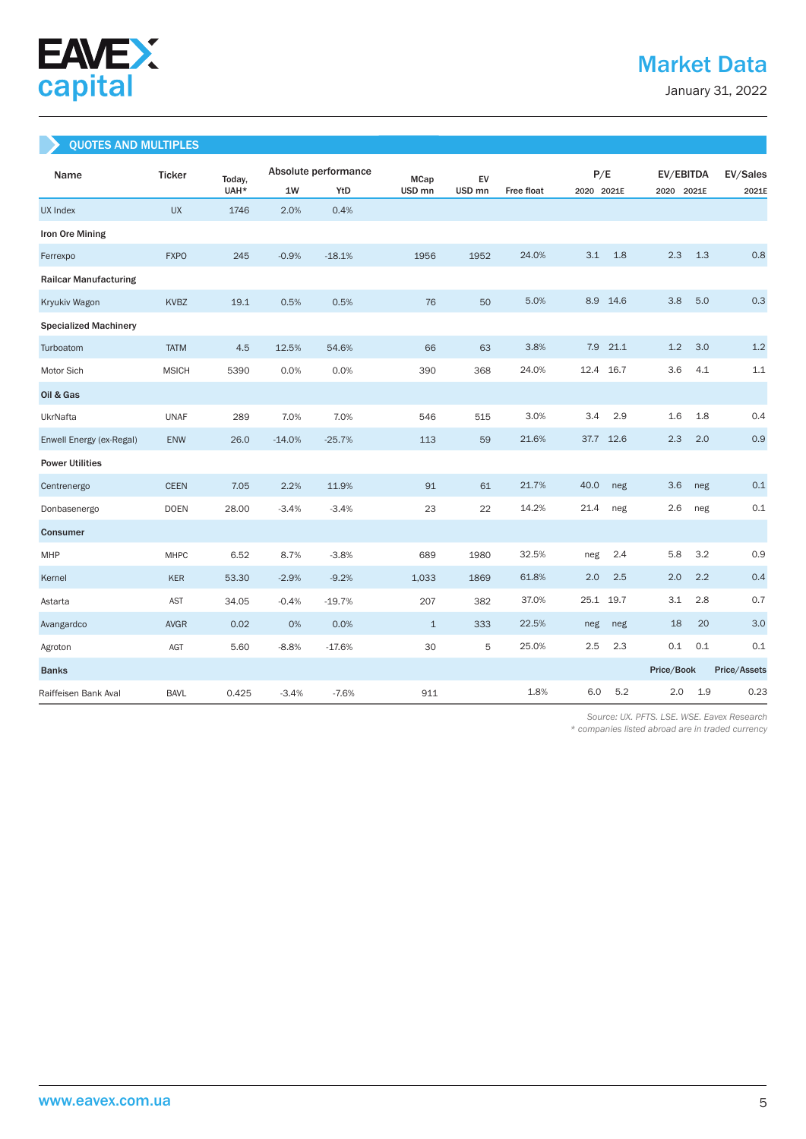

January 31, 2022

## QUOTES AND MULTIPLES

| Name                         | <b>Ticker</b> | Today, |          | Absolute performance | <b>MCap</b>       | EV                |                   | P/E        |      | EV/EBITDA  |     | EV/Sales     |
|------------------------------|---------------|--------|----------|----------------------|-------------------|-------------------|-------------------|------------|------|------------|-----|--------------|
|                              |               | UAH*   | 1W       | YtD                  | USD <sub>mn</sub> | USD <sub>mn</sub> | <b>Free float</b> | 2020 2021E |      | 2020 2021E |     | 2021E        |
| UX Index                     | <b>UX</b>     | 1746   | 2.0%     | 0.4%                 |                   |                   |                   |            |      |            |     |              |
| Iron Ore Mining              |               |        |          |                      |                   |                   |                   |            |      |            |     |              |
| Ferrexpo                     | <b>FXPO</b>   | 245    | $-0.9%$  | $-18.1%$             | 1956              | 1952              | 24.0%             | 3.1        | 1.8  | 2.3        | 1.3 | 0.8          |
| <b>Railcar Manufacturing</b> |               |        |          |                      |                   |                   |                   |            |      |            |     |              |
| Kryukiv Wagon                | <b>KVBZ</b>   | 19.1   | 0.5%     | 0.5%                 | 76                | 50                | 5.0%              | 8.9        | 14.6 | 3.8        | 5.0 | 0.3          |
| <b>Specialized Machinery</b> |               |        |          |                      |                   |                   |                   |            |      |            |     |              |
| Turboatom                    | <b>TATM</b>   | 4.5    | 12.5%    | 54.6%                | 66                | 63                | 3.8%              | 7.9        | 21.1 | 1.2        | 3.0 | 1.2          |
| Motor Sich                   | <b>MSICH</b>  | 5390   | 0.0%     | 0.0%                 | 390               | 368               | 24.0%             | 12.4       | 16.7 | 3.6        | 4.1 | 1.1          |
| Oil & Gas                    |               |        |          |                      |                   |                   |                   |            |      |            |     |              |
| UkrNafta                     | <b>UNAF</b>   | 289    | 7.0%     | 7.0%                 | 546               | 515               | 3.0%              | 3.4        | 2.9  | 1.6        | 1.8 | 0.4          |
| Enwell Energy (ex-Regal)     | ENW           | 26.0   | $-14.0%$ | $-25.7%$             | 113               | 59                | 21.6%             | 37.7 12.6  |      | 2.3        | 2.0 | 0.9          |
| <b>Power Utilities</b>       |               |        |          |                      |                   |                   |                   |            |      |            |     |              |
| Centrenergo                  | <b>CEEN</b>   | 7.05   | 2.2%     | 11.9%                | 91                | 61                | 21.7%             | 40.0       | neg  | 3.6        | neg | 0.1          |
| Donbasenergo                 | <b>DOEN</b>   | 28.00  | $-3.4%$  | $-3.4%$              | 23                | 22                | 14.2%             | 21.4       | neg  | 2.6        | neg | 0.1          |
| Consumer                     |               |        |          |                      |                   |                   |                   |            |      |            |     |              |
| MHP                          | <b>MHPC</b>   | 6.52   | 8.7%     | $-3.8%$              | 689               | 1980              | 32.5%             | neg        | 2.4  | 5.8        | 3.2 | 0.9          |
| Kernel                       | KER           | 53.30  | $-2.9%$  | $-9.2%$              | 1,033             | 1869              | 61.8%             | 2.0        | 2.5  | 2.0        | 2.2 | 0.4          |
| Astarta                      | AST           | 34.05  | $-0.4%$  | $-19.7%$             | 207               | 382               | 37.0%             | 25.1       | 19.7 | 3.1        | 2.8 | 0.7          |
| Avangardco                   | <b>AVGR</b>   | 0.02   | 0%       | 0.0%                 | $\mathbf{1}$      | 333               | 22.5%             | neg        | neg  | 18         | 20  | 3.0          |
| Agroton                      | AGT           | 5.60   | $-8.8%$  | $-17.6%$             | 30                | 5                 | 25.0%             | 2.5        | 2.3  | 0.1        | 0.1 | 0.1          |
| <b>Banks</b>                 |               |        |          |                      |                   |                   |                   |            |      | Price/Book |     | Price/Assets |
| Raiffeisen Bank Aval         | <b>BAVL</b>   | 0.425  | $-3.4%$  | $-7.6%$              | 911               |                   | 1.8%              | 6.0        | 5.2  | 2.0        | 1.9 | 0.23         |

 *Source: UX. PFTS. LSE. WSE. Eavex Research* 

*\* companies listed abroad are in traded currency*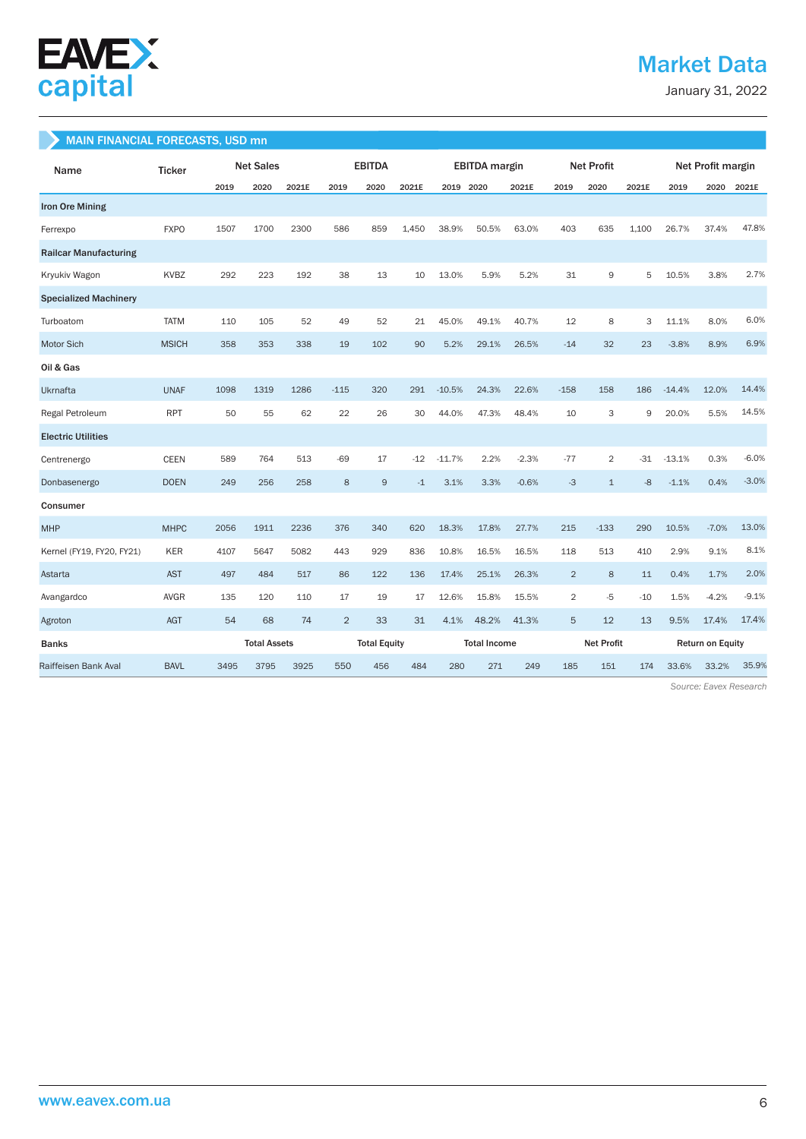

## Market Data

January 31, 2022

### MAIN FINANCIAL FORECASTS, USD mn

| Name                         | <b>Ticker</b> |      | <b>Net Sales</b>    |       | <b>EBITDA</b>  |                     | <b>EBITDA</b> margin |                     | <b>Net Profit</b> |         |                   | Net Profit margin |       |                         |         |         |
|------------------------------|---------------|------|---------------------|-------|----------------|---------------------|----------------------|---------------------|-------------------|---------|-------------------|-------------------|-------|-------------------------|---------|---------|
|                              |               | 2019 | 2020                | 2021E | 2019           | 2020                | 2021E                | 2019 2020           |                   | 2021E   | 2019              | 2020              | 2021E | 2019                    | 2020    | 2021E   |
| <b>Iron Ore Mining</b>       |               |      |                     |       |                |                     |                      |                     |                   |         |                   |                   |       |                         |         |         |
| Ferrexpo                     | <b>FXPO</b>   | 1507 | 1700                | 2300  | 586            | 859                 | 1,450                | 38.9%               | 50.5%             | 63.0%   | 403               | 635               | 1,100 | 26.7%                   | 37.4%   | 47.8%   |
| <b>Railcar Manufacturing</b> |               |      |                     |       |                |                     |                      |                     |                   |         |                   |                   |       |                         |         |         |
| Kryukiv Wagon                | KVBZ          | 292  | 223                 | 192   | 38             | 13                  | 10                   | 13.0%               | 5.9%              | 5.2%    | 31                | 9                 | 5     | 10.5%                   | 3.8%    | 2.7%    |
| <b>Specialized Machinery</b> |               |      |                     |       |                |                     |                      |                     |                   |         |                   |                   |       |                         |         |         |
| Turboatom                    | <b>TATM</b>   | 110  | 105                 | 52    | 49             | 52                  | 21                   | 45.0%               | 49.1%             | 40.7%   | 12                | 8                 | 3     | 11.1%                   | 8.0%    | 6.0%    |
| Motor Sich                   | <b>MSICH</b>  | 358  | 353                 | 338   | 19             | 102                 | 90                   | 5.2%                | 29.1%             | 26.5%   | $-14$             | 32                | 23    | $-3.8%$                 | 8.9%    | 6.9%    |
| Oil & Gas                    |               |      |                     |       |                |                     |                      |                     |                   |         |                   |                   |       |                         |         |         |
| <b>Ukrnafta</b>              | <b>UNAF</b>   | 1098 | 1319                | 1286  | $-115$         | 320                 | 291                  | $-10.5%$            | 24.3%             | 22.6%   | $-158$            | 158               | 186   | $-14.4%$                | 12.0%   | 14.4%   |
| Regal Petroleum              | <b>RPT</b>    | 50   | 55                  | 62    | 22             | 26                  | 30                   | 44.0%               | 47.3%             | 48.4%   | 10                | 3                 | 9     | 20.0%                   | 5.5%    | 14.5%   |
| <b>Electric Utilities</b>    |               |      |                     |       |                |                     |                      |                     |                   |         |                   |                   |       |                         |         |         |
| Centrenergo                  | <b>CEEN</b>   | 589  | 764                 | 513   | $-69$          | 17                  | $-12$                | $-11.7%$            | 2.2%              | $-2.3%$ | $-77$             | $\overline{2}$    | $-31$ | $-13.1%$                | 0.3%    | $-6.0%$ |
| Donbasenergo                 | <b>DOEN</b>   | 249  | 256                 | 258   | 8              | $\overline{9}$      | $-1$                 | 3.1%                | 3.3%              | $-0.6%$ | $-3$              | $\mathbf{1}$      | $-8$  | $-1.1%$                 | 0.4%    | $-3.0%$ |
| Consumer                     |               |      |                     |       |                |                     |                      |                     |                   |         |                   |                   |       |                         |         |         |
| <b>MHP</b>                   | <b>MHPC</b>   | 2056 | 1911                | 2236  | 376            | 340                 | 620                  | 18.3%               | 17.8%             | 27.7%   | 215               | $-133$            | 290   | 10.5%                   | $-7.0%$ | 13.0%   |
| Kernel (FY19, FY20, FY21)    | <b>KER</b>    | 4107 | 5647                | 5082  | 443            | 929                 | 836                  | 10.8%               | 16.5%             | 16.5%   | 118               | 513               | 410   | 2.9%                    | 9.1%    | 8.1%    |
| Astarta                      | <b>AST</b>    | 497  | 484                 | 517   | 86             | 122                 | 136                  | 17.4%               | 25.1%             | 26.3%   | $\overline{2}$    | 8                 | 11    | 0.4%                    | 1.7%    | 2.0%    |
| Avangardco                   | <b>AVGR</b>   | 135  | 120                 | 110   | 17             | 19                  | 17                   | 12.6%               | 15.8%             | 15.5%   | $\overline{2}$    | $-5$              | $-10$ | 1.5%                    | $-4.2%$ | $-9.1%$ |
| Agroton                      | AGT           | 54   | 68                  | 74    | $\overline{2}$ | 33                  | 31                   | 4.1%                | 48.2%             | 41.3%   | 5                 | 12                | 13    | 9.5%                    | 17.4%   | 17.4%   |
| <b>Banks</b>                 |               |      | <b>Total Assets</b> |       |                | <b>Total Equity</b> |                      | <b>Total Income</b> |                   |         | <b>Net Profit</b> |                   |       | <b>Return on Equity</b> |         |         |
| Raiffeisen Bank Aval         | <b>BAVL</b>   | 3495 | 3795                | 3925  | 550            | 456                 | 484                  | 280                 | 271               | 249     | 185               | 151               | 174   | 33.6%                   | 33.2%   | 35.9%   |

 *Source: Eavex Research*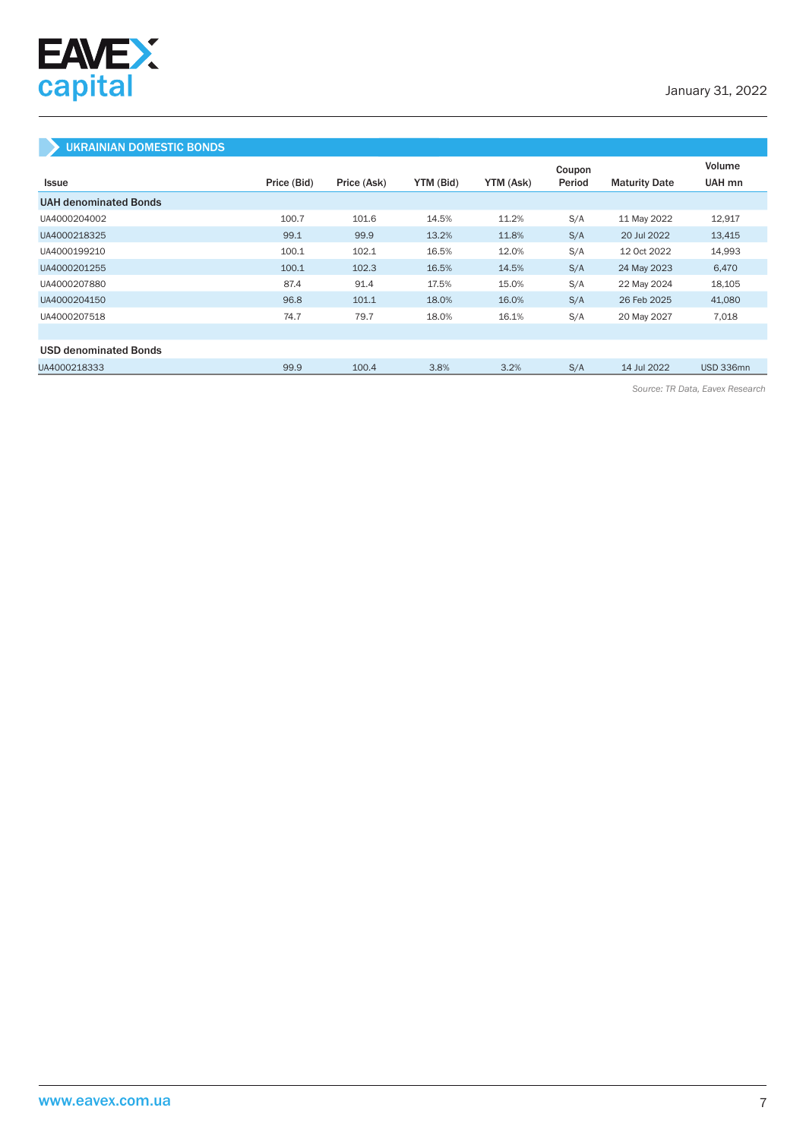

## UKRAINIAN DOMESTIC BONDS

|                              |             |             |           |           | Coupon |                      | Volume    |
|------------------------------|-------------|-------------|-----------|-----------|--------|----------------------|-----------|
| <b>Issue</b>                 | Price (Bid) | Price (Ask) | YTM (Bid) | YTM (Ask) | Period | <b>Maturity Date</b> | UAH mn    |
| <b>UAH denominated Bonds</b> |             |             |           |           |        |                      |           |
| UA4000204002                 | 100.7       | 101.6       | 14.5%     | 11.2%     | S/A    | 11 May 2022          | 12,917    |
| UA4000218325                 | 99.1        | 99.9        | 13.2%     | 11.8%     | S/A    | 20 Jul 2022          | 13,415    |
| UA4000199210                 | 100.1       | 102.1       | 16.5%     | 12.0%     | S/A    | 12 Oct 2022          | 14,993    |
| UA4000201255                 | 100.1       | 102.3       | 16.5%     | 14.5%     | S/A    | 24 May 2023          | 6,470     |
| UA4000207880                 | 87.4        | 91.4        | 17.5%     | 15.0%     | S/A    | 22 May 2024          | 18,105    |
| UA4000204150                 | 96.8        | 101.1       | 18.0%     | 16.0%     | S/A    | 26 Feb 2025          | 41,080    |
| UA4000207518                 | 74.7        | 79.7        | 18.0%     | 16.1%     | S/A    | 20 May 2027          | 7,018     |
|                              |             |             |           |           |        |                      |           |
| <b>USD denominated Bonds</b> |             |             |           |           |        |                      |           |
| UA4000218333                 | 99.9        | 100.4       | 3.8%      | 3.2%      | S/A    | 14 Jul 2022          | USD 336mn |

*Source: TR Data, Eavex Research*